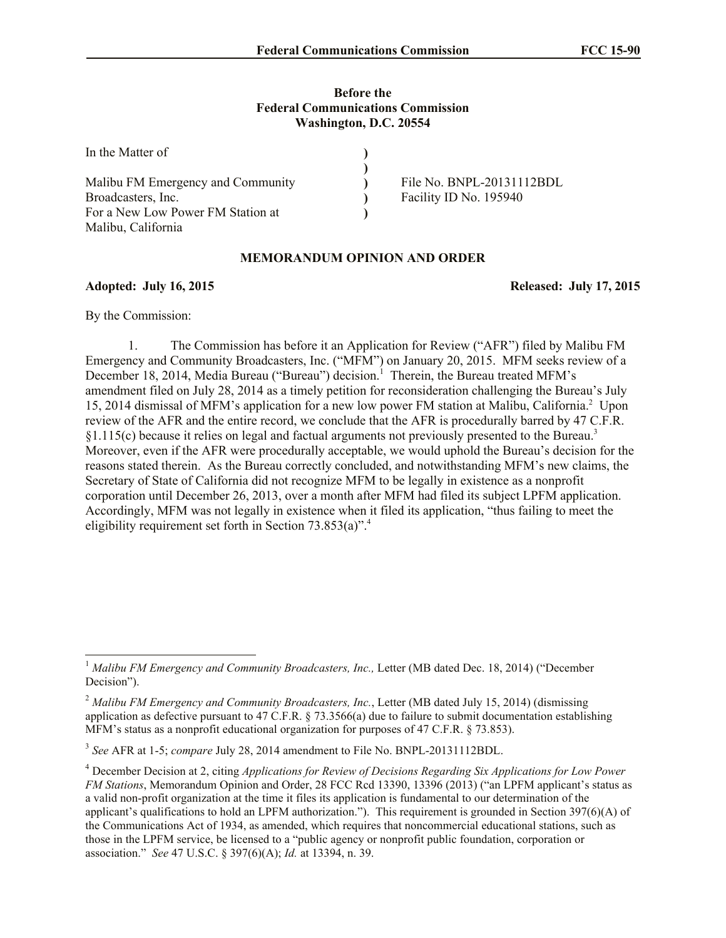## **Before the Federal Communications Commission Washington, D.C. 20554**

| In the Matter of                  |                           |
|-----------------------------------|---------------------------|
|                                   |                           |
| Malibu FM Emergency and Community | File No. BNPL-20131112BDL |
| Broadcasters, Inc.                | Facility ID No. 195940    |
| For a New Low Power FM Station at |                           |
| Malibu, California                |                           |

## **MEMORANDUM OPINION AND ORDER**

**Adopted: July 16, 2015 Released: July 17, 2015**

By the Commission:

l

1. The Commission has before it an Application for Review ("AFR") filed by Malibu FM Emergency and Community Broadcasters, Inc. ("MFM") on January 20, 2015. MFM seeks review of a December 18, 2014, Media Bureau ("Bureau") decision.<sup>1</sup> Therein, the Bureau treated MFM's amendment filed on July 28, 2014 as a timely petition for reconsideration challenging the Bureau's July 15, 2014 dismissal of MFM's application for a new low power FM station at Malibu, California.<sup>2</sup> Upon review of the AFR and the entire record, we conclude that the AFR is procedurally barred by 47 C.F.R.  $§1.115(c)$  because it relies on legal and factual arguments not previously presented to the Bureau.<sup>3</sup> Moreover, even if the AFR were procedurally acceptable, we would uphold the Bureau's decision for the reasons stated therein. As the Bureau correctly concluded, and notwithstanding MFM's new claims, the Secretary of State of California did not recognize MFM to be legally in existence as a nonprofit corporation until December 26, 2013, over a month after MFM had filed its subject LPFM application. Accordingly, MFM was not legally in existence when it filed its application, "thus failing to meet the eligibility requirement set forth in Section 73.853(a)". 4

<sup>&</sup>lt;sup>1</sup> Malibu FM Emergency and Community Broadcasters, Inc., Letter (MB dated Dec. 18, 2014) ("December Decision").

<sup>&</sup>lt;sup>2</sup> Malibu FM Emergency and Community Broadcasters, Inc., Letter (MB dated July 15, 2014) (dismissing application as defective pursuant to 47 C.F.R.  $\S$  73.3566(a) due to failure to submit documentation establishing MFM's status as a nonprofit educational organization for purposes of 47 C.F.R. § 73.853).

<sup>3</sup> *See* AFR at 1-5; *compare* July 28, 2014 amendment to File No. BNPL-20131112BDL.

<sup>4</sup> December Decision at 2, citing *Applications for Review of Decisions Regarding Six Applications for Low Power FM Stations*, Memorandum Opinion and Order, 28 FCC Rcd 13390, 13396 (2013) ("an LPFM applicant's status as a valid non-profit organization at the time it files its application is fundamental to our determination of the applicant's qualifications to hold an LPFM authorization."). This requirement is grounded in Section 397(6)(A) of the Communications Act of 1934, as amended, which requires that noncommercial educational stations, such as those in the LPFM service, be licensed to a "public agency or nonprofit public foundation, corporation or association." *See* 47 U.S.C. § 397(6)(A); *Id.* at 13394, n. 39.